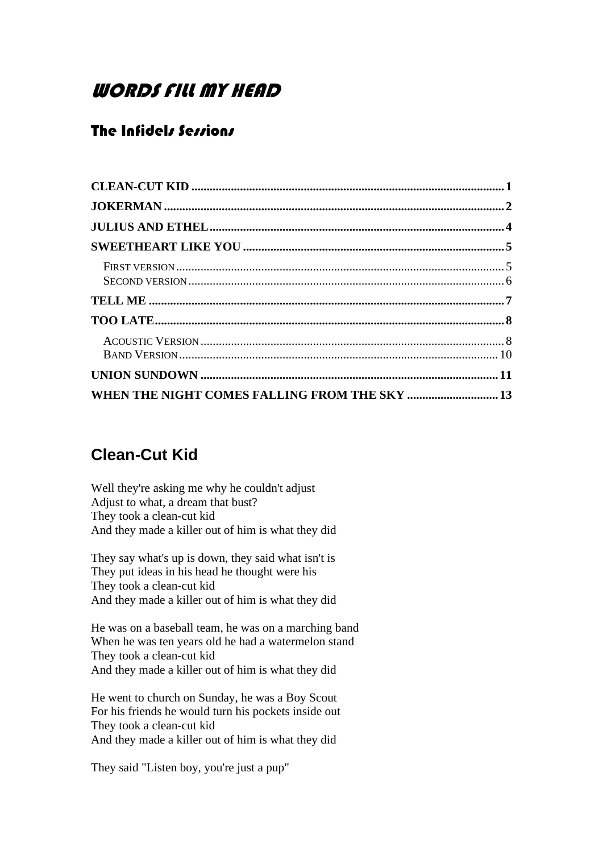# <span id="page-0-1"></span>WORDS FILL MY HEAD

### The Infidels Sessions

| WHEN THE NIGHT COMES FALLING FROM THE SKY  13 |  |
|-----------------------------------------------|--|

# <span id="page-0-0"></span>**Clean-Cut Kid**

Well they're asking me why he couldn't adjust Adjust to what, a dream that bust? They took a clean-cut kid And they made a killer out of him is what they did

They say what's up is down, they said what isn't is They put ideas in his head he thought were his They took a clean-cut kid And they made a killer out of him is what they did

He was on a baseball team, he was on a marching band When he was ten years old he had a watermelon stand They took a clean-cut kid And they made a killer out of him is what they did

He went to church on Sunday, he was a Boy Scout For his friends he would turn his pockets inside out They took a clean-cut kid And they made a killer out of him is what they did

They said "Listen boy, you're just a pup"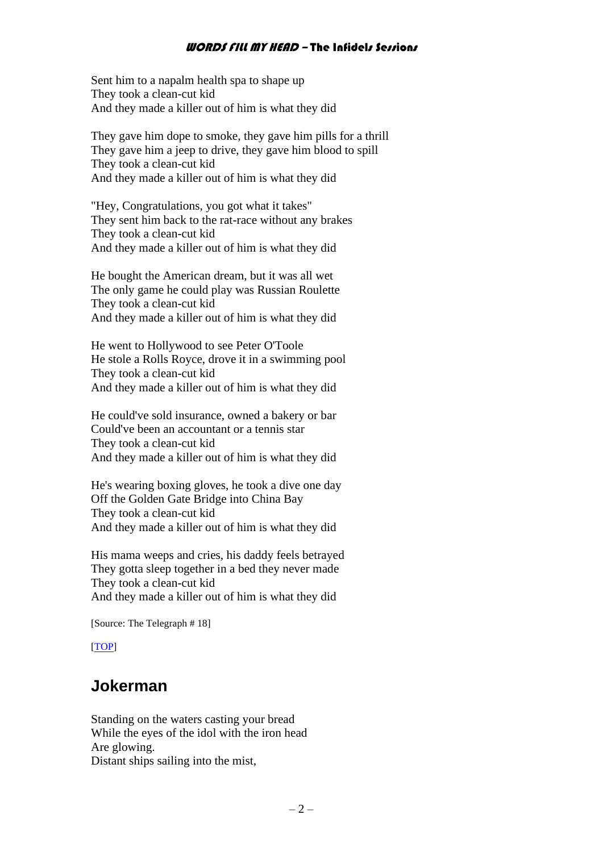Sent him to a napalm health spa to shape up They took a clean-cut kid And they made a killer out of him is what they did

They gave him dope to smoke, they gave him pills for a thrill They gave him a jeep to drive, they gave him blood to spill They took a clean-cut kid And they made a killer out of him is what they did

"Hey, Congratulations, you got what it takes" They sent him back to the rat-race without any brakes They took a clean-cut kid And they made a killer out of him is what they did

He bought the American dream, but it was all wet The only game he could play was Russian Roulette They took a clean-cut kid And they made a killer out of him is what they did

He went to Hollywood to see Peter O'Toole He stole a Rolls Royce, drove it in a swimming pool They took a clean-cut kid And they made a killer out of him is what they did

He could've sold insurance, owned a bakery or bar Could've been an accountant or a tennis star They took a clean-cut kid And they made a killer out of him is what they did

He's wearing boxing gloves, he took a dive one day Off the Golden Gate Bridge into China Bay They took a clean-cut kid And they made a killer out of him is what they did

His mama weeps and cries, his daddy feels betrayed They gotta sleep together in a bed they never made They took a clean-cut kid And they made a killer out of him is what they did

[Source: The Telegraph # 18]

[\[TOP\]](#page-0-1)

### <span id="page-1-0"></span>**Jokerman**

Standing on the waters casting your bread While the eyes of the idol with the iron head Are glowing. Distant ships sailing into the mist,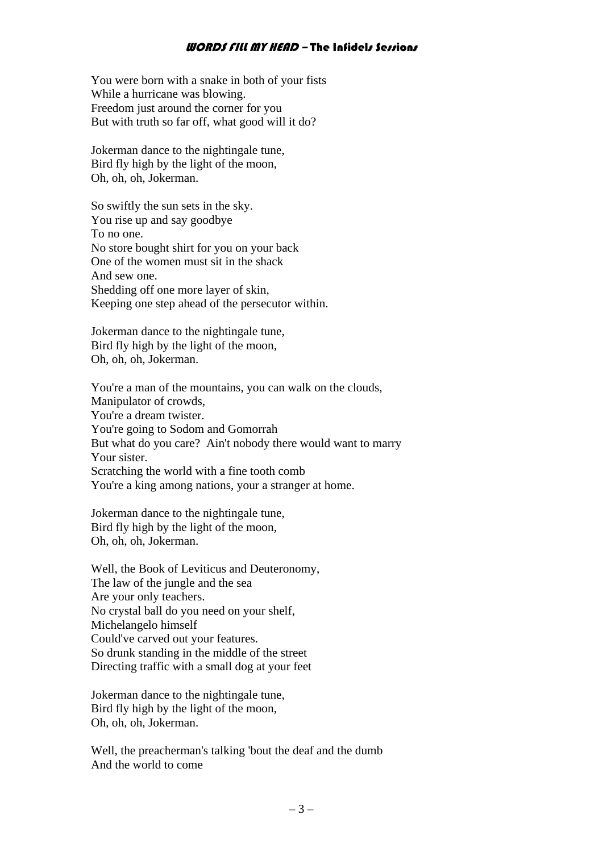You were born with a snake in both of your fists While a hurricane was blowing. Freedom just around the corner for you But with truth so far off, what good will it do?

Jokerman dance to the nightingale tune, Bird fly high by the light of the moon, Oh, oh, oh, Jokerman.

So swiftly the sun sets in the sky. You rise up and say goodbye To no one. No store bought shirt for you on your back One of the women must sit in the shack And sew one. Shedding off one more layer of skin, Keeping one step ahead of the persecutor within.

Jokerman dance to the nightingale tune, Bird fly high by the light of the moon, Oh, oh, oh, Jokerman.

You're a man of the mountains, you can walk on the clouds, Manipulator of crowds, You're a dream twister. You're going to Sodom and Gomorrah But what do you care? Ain't nobody there would want to marry Your sister. Scratching the world with a fine tooth comb You're a king among nations, your a stranger at home.

Jokerman dance to the nightingale tune, Bird fly high by the light of the moon, Oh, oh, oh, Jokerman.

Well, the Book of Leviticus and Deuteronomy, The law of the jungle and the sea Are your only teachers. No crystal ball do you need on your shelf, Michelangelo himself Could've carved out your features. So drunk standing in the middle of the street Directing traffic with a small dog at your feet

Jokerman dance to the nightingale tune, Bird fly high by the light of the moon, Oh, oh, oh, Jokerman.

Well, the preacherman's talking 'bout the deaf and the dumb And the world to come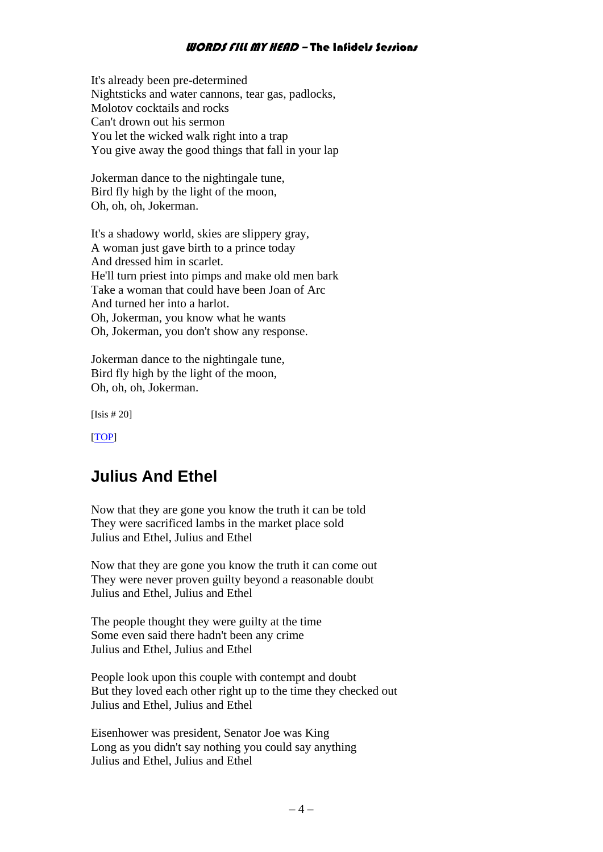It's already been pre-determined Nightsticks and water cannons, tear gas, padlocks, Molotov cocktails and rocks Can't drown out his sermon You let the wicked walk right into a trap You give away the good things that fall in your lap

Jokerman dance to the nightingale tune, Bird fly high by the light of the moon, Oh, oh, oh, Jokerman.

It's a shadowy world, skies are slippery gray, A woman just gave birth to a prince today And dressed him in scarlet. He'll turn priest into pimps and make old men bark Take a woman that could have been Joan of Arc And turned her into a harlot. Oh, Jokerman, you know what he wants Oh, Jokerman, you don't show any response.

Jokerman dance to the nightingale tune, Bird fly high by the light of the moon, Oh, oh, oh, Jokerman.

[Isis # 20]

[\[TOP\]](#page-0-1)

### <span id="page-3-0"></span>**Julius And Ethel**

Now that they are gone you know the truth it can be told They were sacrificed lambs in the market place sold Julius and Ethel, Julius and Ethel

Now that they are gone you know the truth it can come out They were never proven guilty beyond a reasonable doubt Julius and Ethel, Julius and Ethel

The people thought they were guilty at the time Some even said there hadn't been any crime Julius and Ethel, Julius and Ethel

People look upon this couple with contempt and doubt But they loved each other right up to the time they checked out Julius and Ethel, Julius and Ethel

Eisenhower was president, Senator Joe was King Long as you didn't say nothing you could say anything Julius and Ethel, Julius and Ethel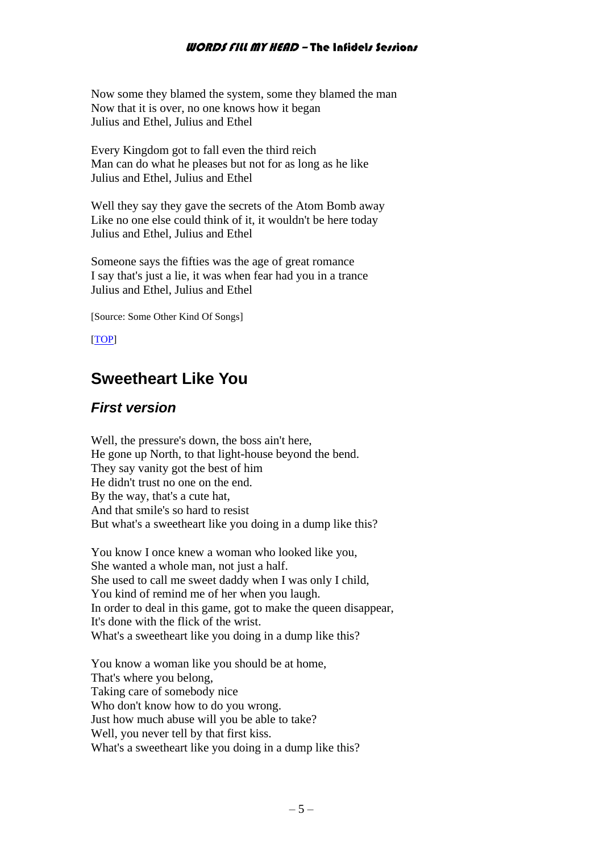Now some they blamed the system, some they blamed the man Now that it is over, no one knows how it began Julius and Ethel, Julius and Ethel

Every Kingdom got to fall even the third reich Man can do what he pleases but not for as long as he like Julius and Ethel, Julius and Ethel

Well they say they gave the secrets of the Atom Bomb away Like no one else could think of it, it wouldn't be here today Julius and Ethel, Julius and Ethel

Someone says the fifties was the age of great romance I say that's just a lie, it was when fear had you in a trance Julius and Ethel, Julius and Ethel

[Source: Some Other Kind Of Songs]

[\[TOP\]](#page-0-1)

## <span id="page-4-0"></span>**Sweetheart Like You**

### <span id="page-4-1"></span>*First version*

Well, the pressure's down, the boss ain't here, He gone up North, to that light-house beyond the bend. They say vanity got the best of him He didn't trust no one on the end. By the way, that's a cute hat, And that smile's so hard to resist But what's a sweetheart like you doing in a dump like this?

You know I once knew a woman who looked like you, She wanted a whole man, not just a half. She used to call me sweet daddy when I was only I child, You kind of remind me of her when you laugh. In order to deal in this game, got to make the queen disappear, It's done with the flick of the wrist. What's a sweetheart like you doing in a dump like this?

You know a woman like you should be at home, That's where you belong, Taking care of somebody nice Who don't know how to do you wrong. Just how much abuse will you be able to take? Well, you never tell by that first kiss. What's a sweetheart like you doing in a dump like this?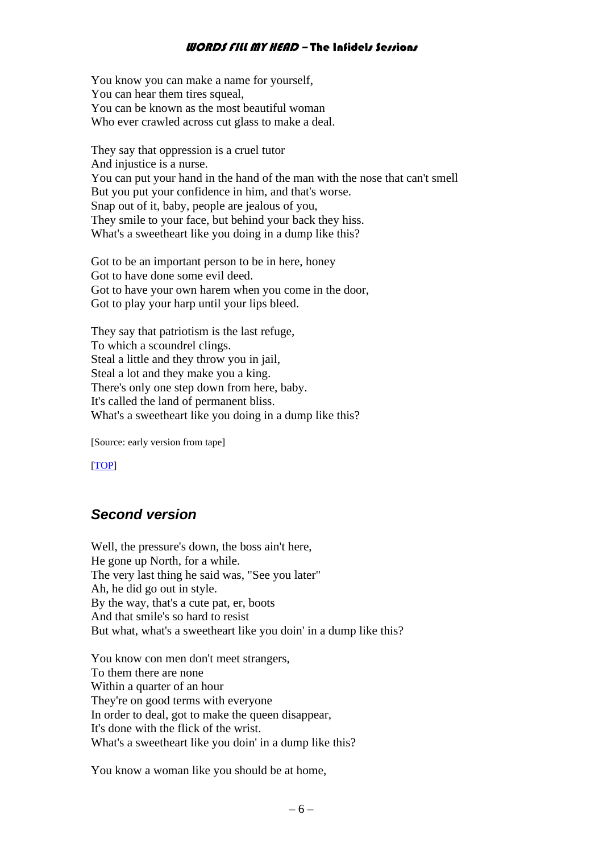You know you can make a name for yourself, You can hear them tires squeal, You can be known as the most beautiful woman Who ever crawled across cut glass to make a deal.

They say that oppression is a cruel tutor And injustice is a nurse. You can put your hand in the hand of the man with the nose that can't smell But you put your confidence in him, and that's worse. Snap out of it, baby, people are jealous of you, They smile to your face, but behind your back they hiss. What's a sweetheart like you doing in a dump like this?

Got to be an important person to be in here, honey Got to have done some evil deed. Got to have your own harem when you come in the door, Got to play your harp until your lips bleed.

They say that patriotism is the last refuge, To which a scoundrel clings. Steal a little and they throw you in jail, Steal a lot and they make you a king. There's only one step down from here, baby. It's called the land of permanent bliss. What's a sweetheart like you doing in a dump like this?

[Source: early version from tape]

[\[TOP\]](#page-0-1)

### <span id="page-5-0"></span>*Second version*

Well, the pressure's down, the boss ain't here, He gone up North, for a while. The very last thing he said was, "See you later" Ah, he did go out in style. By the way, that's a cute pat, er, boots And that smile's so hard to resist But what, what's a sweetheart like you doin' in a dump like this?

You know con men don't meet strangers, To them there are none Within a quarter of an hour They're on good terms with everyone In order to deal, got to make the queen disappear, It's done with the flick of the wrist. What's a sweetheart like you doin' in a dump like this?

You know a woman like you should be at home,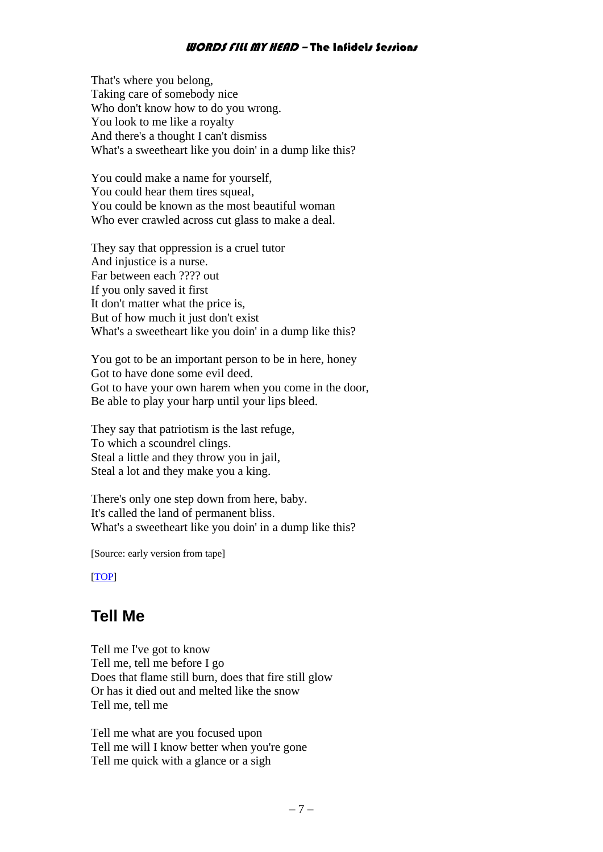That's where you belong, Taking care of somebody nice Who don't know how to do you wrong. You look to me like a royalty And there's a thought I can't dismiss What's a sweetheart like you doin' in a dump like this?

You could make a name for yourself, You could hear them tires squeal, You could be known as the most beautiful woman Who ever crawled across cut glass to make a deal.

They say that oppression is a cruel tutor And injustice is a nurse. Far between each ???? out If you only saved it first It don't matter what the price is, But of how much it just don't exist What's a sweetheart like you doin' in a dump like this?

You got to be an important person to be in here, honey Got to have done some evil deed. Got to have your own harem when you come in the door, Be able to play your harp until your lips bleed.

They say that patriotism is the last refuge, To which a scoundrel clings. Steal a little and they throw you in jail, Steal a lot and they make you a king.

There's only one step down from here, baby. It's called the land of permanent bliss. What's a sweetheart like you doin' in a dump like this?

[Source: early version from tape]

[\[TOP\]](#page-0-1)

# <span id="page-6-0"></span>**Tell Me**

Tell me I've got to know Tell me, tell me before I go Does that flame still burn, does that fire still glow Or has it died out and melted like the snow Tell me, tell me

Tell me what are you focused upon Tell me will I know better when you're gone Tell me quick with a glance or a sigh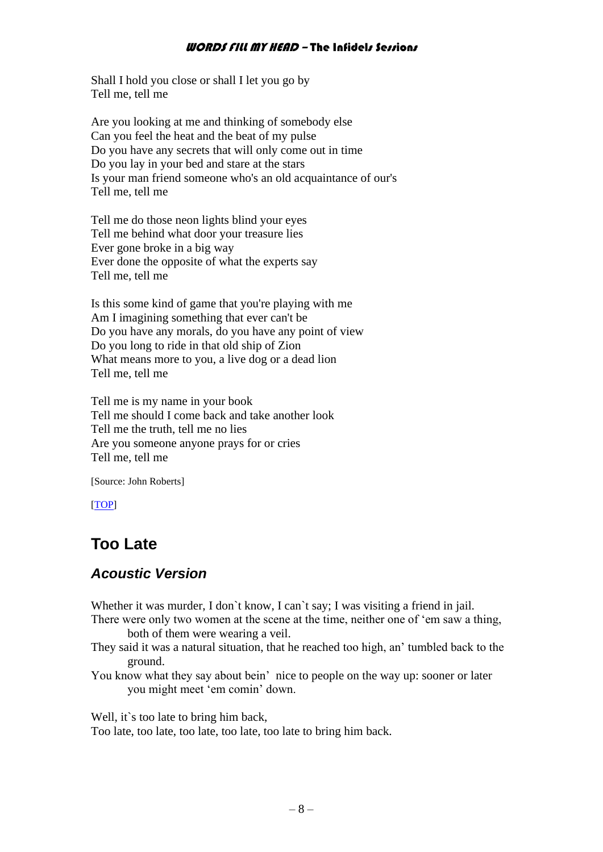Shall I hold you close or shall I let you go by Tell me, tell me

Are you looking at me and thinking of somebody else Can you feel the heat and the beat of my pulse Do you have any secrets that will only come out in time Do you lay in your bed and stare at the stars Is your man friend someone who's an old acquaintance of our's Tell me, tell me

Tell me do those neon lights blind your eyes Tell me behind what door your treasure lies Ever gone broke in a big way Ever done the opposite of what the experts say Tell me, tell me

Is this some kind of game that you're playing with me Am I imagining something that ever can't be Do you have any morals, do you have any point of view Do you long to ride in that old ship of Zion What means more to you, a live dog or a dead lion Tell me, tell me

Tell me is my name in your book Tell me should I come back and take another look Tell me the truth, tell me no lies Are you someone anyone prays for or cries Tell me, tell me

[Source: John Roberts]

[\[TOP\]](#page-0-1)

# <span id="page-7-0"></span>**Too Late**

### <span id="page-7-1"></span>*Acoustic Version*

Whether it was murder, I don't know, I can't say; I was visiting a friend in jail.

- There were only two women at the scene at the time, neither one of 'em saw a thing, both of them were wearing a veil.
- They said it was a natural situation, that he reached too high, an' tumbled back to the ground.
- You know what they say about bein' nice to people on the way up: sooner or later you might meet 'em comin' down.

Well, it's too late to bring him back, Too late, too late, too late, too late, too late to bring him back.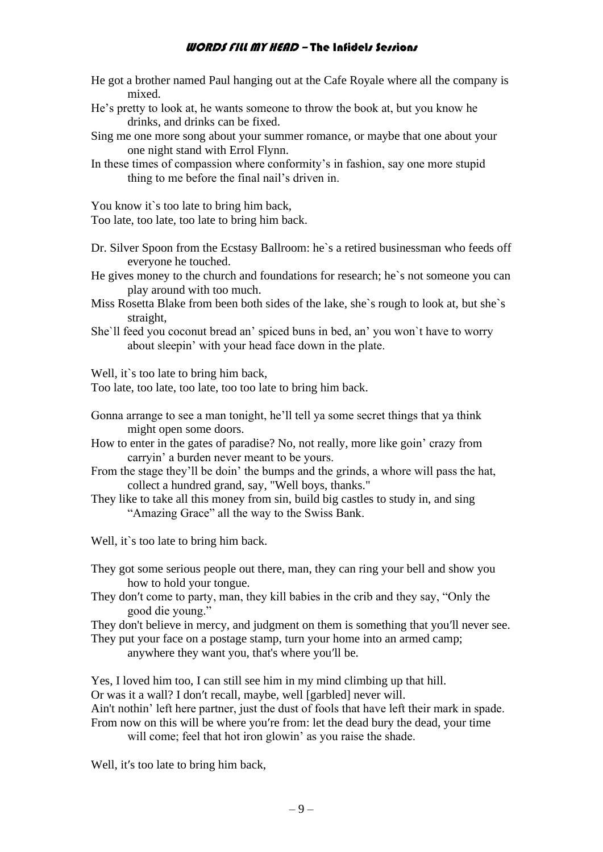- He got a brother named Paul hanging out at the Cafe Royale where all the company is mixed.
- He's pretty to look at, he wants someone to throw the book at, but you know he drinks, and drinks can be fixed.
- Sing me one more song about your summer romance, or maybe that one about your one night stand with Errol Flynn.
- In these times of compassion where conformity's in fashion, say one more stupid thing to me before the final nail's driven in.

You know it's too late to bring him back,

Too late, too late, too late to bring him back.

- Dr. Silver Spoon from the Ecstasy Ballroom: he`s a retired businessman who feeds off everyone he touched.
- He gives money to the church and foundations for research; he`s not someone you can play around with too much.
- Miss Rosetta Blake from been both sides of the lake, she`s rough to look at, but she`s straight,
- She`ll feed you coconut bread an' spiced buns in bed, an' you won`t have to worry about sleepin' with your head face down in the plate.

Well, it's too late to bring him back,

Too late, too late, too late, too too late to bring him back.

- Gonna arrange to see a man tonight, he'll tell ya some secret things that ya think might open some doors.
- How to enter in the gates of paradise? No, not really, more like goin' crazy from carryin' a burden never meant to be yours.
- From the stage they'll be doin' the bumps and the grinds, a whore will pass the hat, collect a hundred grand, say, "Well boys, thanks."
- They like to take all this money from sin, build big castles to study in, and sing "Amazing Grace" all the way to the Swiss Bank.

Well, it's too late to bring him back.

- They got some serious people out there, man, they can ring your bell and show you how to hold your tongue.
- They don′t come to party, man, they kill babies in the crib and they say, "Only the good die young."

They don't believe in mercy, and judgment on them is something that you′ll never see.

They put your face on a postage stamp, turn your home into an armed camp; anywhere they want you, that's where you′ll be.

Yes, I loved him too, I can still see him in my mind climbing up that hill.

Or was it a wall? I don′t recall, maybe, well [garbled] never will.

Ain't nothin' left here partner, just the dust of fools that have left their mark in spade. From now on this will be where you′re from: let the dead bury the dead, your time

will come; feel that hot iron glowin' as you raise the shade.

Well, it′s too late to bring him back,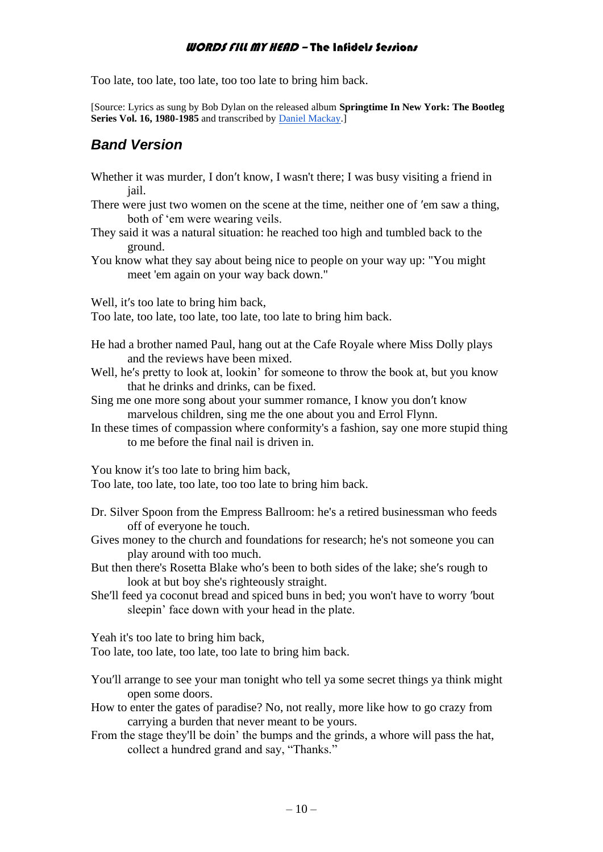Too late, too late, too late, too too late to bring him back.

[Source: Lyrics as sung by Bob Dylan on the released album **Springtime In New York: The Bootleg Series Vol. 16, 1980-1985** and transcribed by [Daniel Mackay.](http://www.bjorner.com/Dan.htm)]

### <span id="page-9-0"></span>*Band Version*

- Whether it was murder, I don't know, I wasn't there; I was busy visiting a friend in jail.
- There were just two women on the scene at the time, neither one of 'em saw a thing, both of 'em were wearing veils.
- They said it was a natural situation: he reached too high and tumbled back to the ground.
- You know what they say about being nice to people on your way up: "You might meet 'em again on your way back down."

Well, it′s too late to bring him back,

Too late, too late, too late, too late, too late to bring him back.

- He had a brother named Paul, hang out at the Cafe Royale where Miss Dolly plays and the reviews have been mixed.
- Well, he's pretty to look at, lookin' for someone to throw the book at, but you know that he drinks and drinks, can be fixed.
- Sing me one more song about your summer romance, I know you don′t know marvelous children, sing me the one about you and Errol Flynn.
- In these times of compassion where conformity's a fashion, say one more stupid thing to me before the final nail is driven in.

You know it′s too late to bring him back,

Too late, too late, too late, too too late to bring him back.

- Dr. Silver Spoon from the Empress Ballroom: he's a retired businessman who feeds off of everyone he touch.
- Gives money to the church and foundations for research; he's not someone you can play around with too much.
- But then there's Rosetta Blake who′s been to both sides of the lake; she′s rough to look at but boy she's righteously straight.
- She′ll feed ya coconut bread and spiced buns in bed; you won't have to worry ′bout sleepin' face down with your head in the plate.

Yeah it's too late to bring him back,

Too late, too late, too late, too late to bring him back.

- You′ll arrange to see your man tonight who tell ya some secret things ya think might open some doors.
- How to enter the gates of paradise? No, not really, more like how to go crazy from carrying a burden that never meant to be yours.
- From the stage they'll be doin' the bumps and the grinds, a whore will pass the hat, collect a hundred grand and say, "Thanks."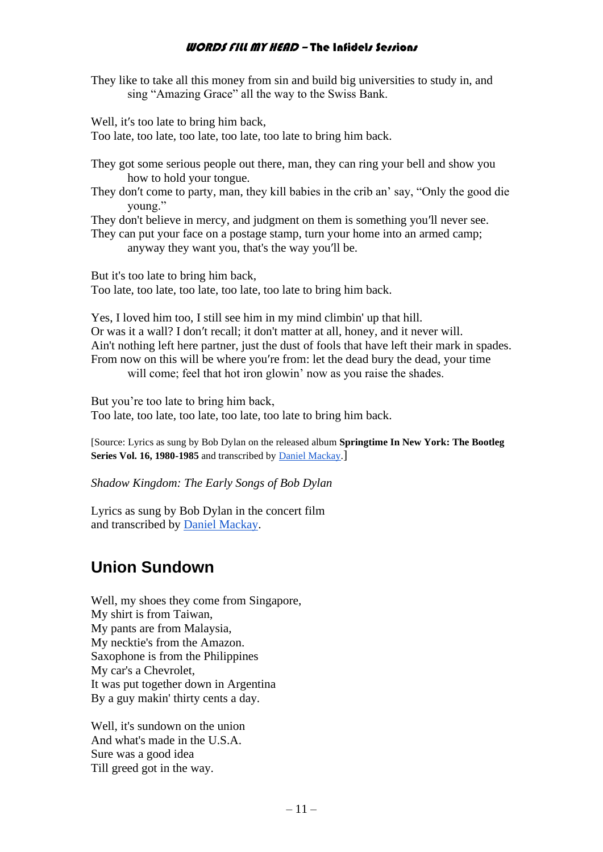They like to take all this money from sin and build big universities to study in, and sing "Amazing Grace" all the way to the Swiss Bank.

Well, it′s too late to bring him back,

Too late, too late, too late, too late, too late to bring him back.

They got some serious people out there, man, they can ring your bell and show you how to hold your tongue.

They don′t come to party, man, they kill babies in the crib an' say, "Only the good die young."

They don't believe in mercy, and judgment on them is something you′ll never see.

They can put your face on a postage stamp, turn your home into an armed camp; anyway they want you, that's the way you′ll be.

But it's too late to bring him back, Too late, too late, too late, too late, too late to bring him back.

Yes, I loved him too, I still see him in my mind climbin' up that hill. Or was it a wall? I don′t recall; it don't matter at all, honey, and it never will. Ain't nothing left here partner, just the dust of fools that have left their mark in spades. From now on this will be where you′re from: let the dead bury the dead, your time will come; feel that hot iron glowin' now as you raise the shades.

But you're too late to bring him back, Too late, too late, too late, too late, too late to bring him back.

[Source: Lyrics as sung by Bob Dylan on the released album **Springtime In New York: The Bootleg Series Vol. 16, 1980-1985** and transcribed by [Daniel Mackay.](http://www.bjorner.com/Dan.htm)]

*Shadow Kingdom: The Early Songs of Bob Dylan*

Lyrics as sung by Bob Dylan in the concert film and transcribed by [Daniel Mackay.](http://www.bjorner.com/Dan.htm)

# <span id="page-10-0"></span>**Union Sundown**

Well, my shoes they come from Singapore, My shirt is from Taiwan, My pants are from Malaysia, My necktie's from the Amazon. Saxophone is from the Philippines My car's a Chevrolet, It was put together down in Argentina By a guy makin' thirty cents a day.

Well, it's sundown on the union And what's made in the U.S.A. Sure was a good idea Till greed got in the way.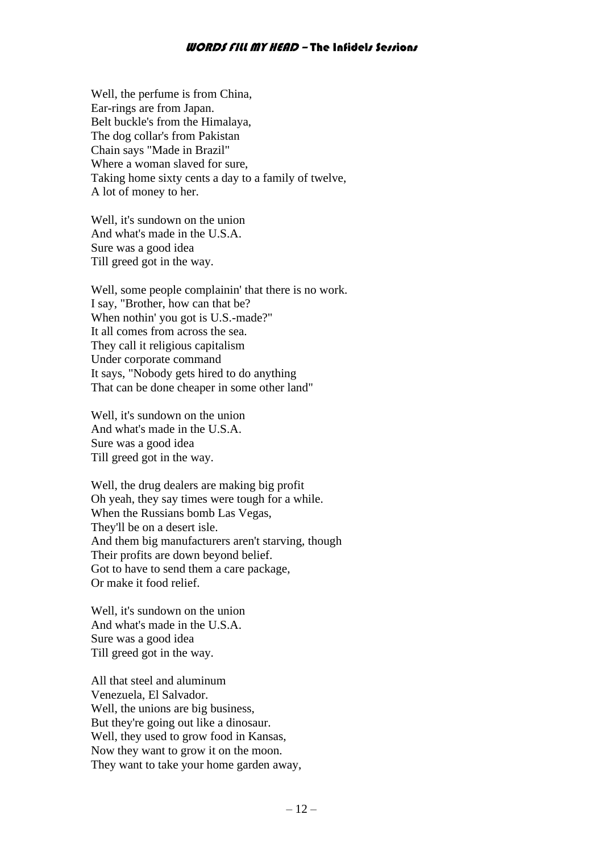Well, the perfume is from China, Ear-rings are from Japan. Belt buckle's from the Himalaya, The dog collar's from Pakistan Chain says "Made in Brazil" Where a woman slaved for sure, Taking home sixty cents a day to a family of twelve, A lot of money to her.

Well, it's sundown on the union And what's made in the U.S.A. Sure was a good idea Till greed got in the way.

Well, some people complainin' that there is no work. I say, "Brother, how can that be? When nothin' you got is U.S.-made?" It all comes from across the sea. They call it religious capitalism Under corporate command It says, "Nobody gets hired to do anything That can be done cheaper in some other land"

Well, it's sundown on the union And what's made in the U.S.A. Sure was a good idea Till greed got in the way.

Well, the drug dealers are making big profit Oh yeah, they say times were tough for a while. When the Russians bomb Las Vegas, They'll be on a desert isle. And them big manufacturers aren't starving, though Their profits are down beyond belief. Got to have to send them a care package, Or make it food relief.

Well, it's sundown on the union And what's made in the U.S.A. Sure was a good idea Till greed got in the way.

All that steel and aluminum Venezuela, El Salvador. Well, the unions are big business, But they're going out like a dinosaur. Well, they used to grow food in Kansas, Now they want to grow it on the moon. They want to take your home garden away,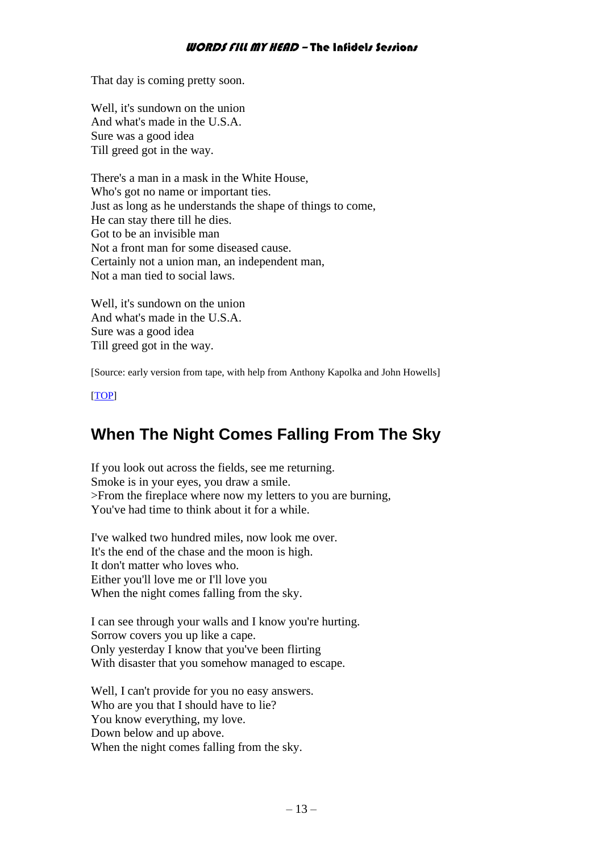That day is coming pretty soon.

Well, it's sundown on the union And what's made in the U.S.A. Sure was a good idea Till greed got in the way.

There's a man in a mask in the White House, Who's got no name or important ties. Just as long as he understands the shape of things to come, He can stay there till he dies. Got to be an invisible man Not a front man for some diseased cause. Certainly not a union man, an independent man, Not a man tied to social laws.

Well, it's sundown on the union And what's made in the U.S.A. Sure was a good idea Till greed got in the way.

[Source: early version from tape, with help from Anthony Kapolka and John Howells]

[\[TOP\]](#page-0-1)

# <span id="page-12-0"></span>**When The Night Comes Falling From The Sky**

If you look out across the fields, see me returning. Smoke is in your eyes, you draw a smile. >From the fireplace where now my letters to you are burning, You've had time to think about it for a while.

I've walked two hundred miles, now look me over. It's the end of the chase and the moon is high. It don't matter who loves who. Either you'll love me or I'll love you When the night comes falling from the sky.

I can see through your walls and I know you're hurting. Sorrow covers you up like a cape. Only yesterday I know that you've been flirting With disaster that you somehow managed to escape.

Well, I can't provide for you no easy answers. Who are you that I should have to lie? You know everything, my love. Down below and up above. When the night comes falling from the sky.